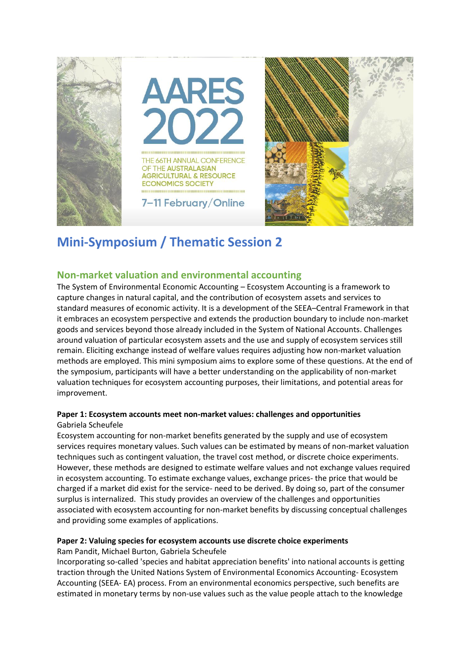

# **Mini-Symposium / Thematic Session 2**

# **Non-market valuation and environmental accounting**

The System of Environmental Economic Accounting – Ecosystem Accounting is a framework to capture changes in natural capital, and the contribution of ecosystem assets and services to standard measures of economic activity. It is a development of the SEEA–Central Framework in that it embraces an ecosystem perspective and extends the production boundary to include non-market goods and services beyond those already included in the System of National Accounts. Challenges around valuation of particular ecosystem assets and the use and supply of ecosystem services still remain. Eliciting exchange instead of welfare values requires adjusting how non-market valuation methods are employed. This mini symposium aims to explore some of these questions. At the end of the symposium, participants will have a better understanding on the applicability of non-market valuation techniques for ecosystem accounting purposes, their limitations, and potential areas for improvement.

## **Paper 1: Ecosystem accounts meet non-market values: challenges and opportunities** Gabriela Scheufele

Ecosystem accounting for non-market benefits generated by the supply and use of ecosystem services requires monetary values. Such values can be estimated by means of non-market valuation techniques such as contingent valuation, the travel cost method, or discrete choice experiments. However, these methods are designed to estimate welfare values and not exchange values required in ecosystem accounting. To estimate exchange values, exchange prices- the price that would be charged if a market did exist for the service- need to be derived. By doing so, part of the consumer surplus is internalized. This study provides an overview of the challenges and opportunities associated with ecosystem accounting for non-market benefits by discussing conceptual challenges and providing some examples of applications.

#### **Paper 2: Valuing species for ecosystem accounts use discrete choice experiments** Ram Pandit, Michael Burton, Gabriela Scheufele

Incorporating so-called 'species and habitat appreciation benefits' into national accounts is getting traction through the United Nations System of Environmental Economics Accounting- Ecosystem Accounting (SEEA- EA) process. From an environmental economics perspective, such benefits are estimated in monetary terms by non-use values such as the value people attach to the knowledge